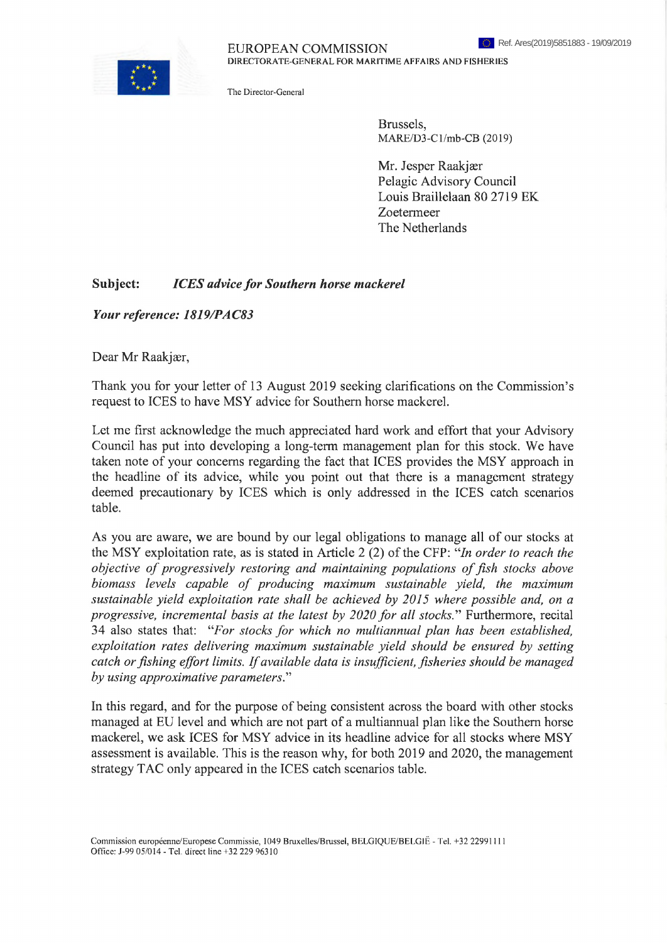EUROPEAN COMMISSION DIRECTORATE-GENERAL FOR MARITIME AFFAIRS AND FISHERIES

The Director-General

Brussels, MARE/D3-Cl/mb-CB (2019)

Mr. Jesper Raakjær Pelagic Advisory Council Louis Braillelaan 80 2719 EK Zoetermeer The Netherlands

## **Subject:** *ICES advicefor Southern horse mackerel*

*Your reference: 1819/PAC83*

Dear Mr Raakjær,

Thank you for your letter of 13 August 2019 seeking clarifications on the Commission's request to ICES to have MSY advice for Southern horse mackerel.

Let me first acknowledge the much appreciated hard work and effort that your Advisory Council has put into developing a long-term management plan for this stock. We have taken note of your concerns regarding the fact that ICES provides the MSY approach in the headline of its advice, while you point out that there is a management strategy deemed precautionary by ICES which is only addressed in the ICES catch scenarios table.

As you are aware, we are bound by our legal obligations to manage all of our stocks at the MSY exploitation rate, as is stated in Article 2 (2) of the CFP: "In order to reach the *objective of progressively restoring and maintaining populations offish stocks above biomass levels capable of producing maximum sustainable yield, the maximum sustainable yield exploitation rate shall be achieved by 2015 where possible and, on a progressive, incremental basis at the latest by 2020 for all stocks*." Furthermore, recital 34 also states that: *uFor stocks for which no multiannual plan has been established, exploitation rates delivering maximum sustainable yield should be ensured by setting catch orfishing effort limits. Ifavailable data is insufficient, fisheries should be managed by using approximative parameters.'1''*

In this regard, and for the purpose of being consistent across the board with other stocks managed at EU level and which are not part of a multiannual plan like the Southern horse mackerel, we ask ICES for MSY advice in its headline advice for all stocks where MSY assessment is available. This is the reason why, for both 2019 and 2020, the management strategy TAC only appeared in the ICES catch scenarios table.